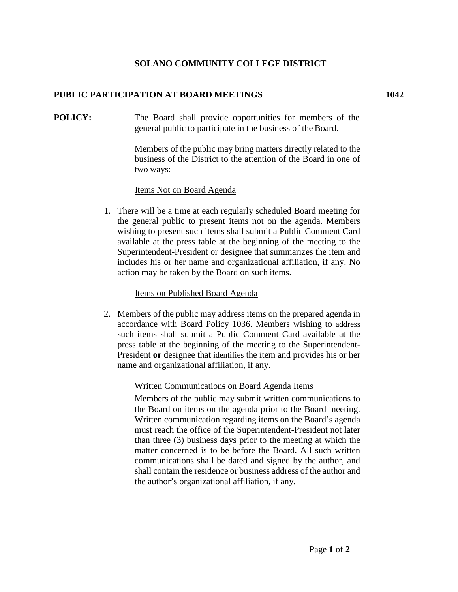# **SOLANO COMMUNITY COLLEGE DISTRICT**

# **PUBLIC PARTICIPATION AT BOARD MEETINGS 1042**

**POLICY:** The Board shall provide opportunities for members of the general public to participate in the business of the Board.

> Members of the public may bring matters directly related to the business of the District to the attention of the Board in one of two ways:

## Items Not on Board Agenda

1. There will be a time at each regularly scheduled Board meeting for the general public to present items not on the agenda. Members wishing to present such items shall submit a Public Comment Card available at the press table at the beginning of the meeting to the Superintendent-President or designee that summarizes the item and includes his or her name and organizational affiliation, if any. No action may be taken by the Board on such items.

### Items on Published Board Agenda

2. Members of the public may address items on the prepared agenda in accordance with Board Policy 1036. Members wishing to address such items shall submit a Public Comment Card available at the press table at the beginning of the meeting to the Superintendent-President **or** designee that identifies the item and provides his or her name and organizational affiliation, if any.

## Written Communications on Board Agenda Items

Members of the public may submit written communications to the Board on items on the agenda prior to the Board meeting. Written communication regarding items on the Board's agenda must reach the office of the Superintendent**-**President not later than three (3) business days prior to the meeting at which the matter concerned is to be before the Board. All such written communications shall be dated and signed by the author, and shall contain the residence or business address of the author and the author's organizational affiliation, if any.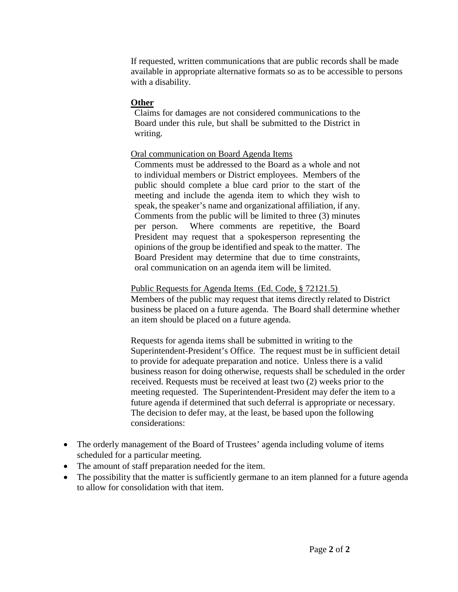If requested, written communications that are public records shall be made available in appropriate alternative formats so as to be accessible to persons with a disability.

### **Other**

Claims for damages are not considered communications to the Board under this rule, but shall be submitted to the District in writing.

### Oral communication on Board Agenda Items

Comments must be addressed to the Board as a whole and not to individual members or District employees. Members of the public should complete a blue card prior to the start of the meeting and include the agenda item to which they wish to speak, the speaker's name and organizational affiliation, if any. Comments from the public will be limited to three (3) minutes per person. Where comments are repetitive, the Board President may request that a spokesperson representing the opinions of the group be identified and speak to the matter. The Board President may determine that due to time constraints, oral communication on an agenda item will be limited.

### Public Requests for Agenda Items (Ed. Code, § 72121.5)

Members of the public may request that items directly related to District business be placed on a future agenda. The Board shall determine whether an item should be placed on a future agenda.

Requests for agenda items shall be submitted in writing to the Superintendent-President's Office. The request must be in sufficient detail to provide for adequate preparation and notice. Unless there is a valid business reason for doing otherwise, requests shall be scheduled in the order received. Requests must be received at least two (2) weeks prior to the meeting requested. The Superintendent-President may defer the item to a future agenda if determined that such deferral is appropriate or necessary. The decision to defer may, at the least, be based upon the following considerations:

- The orderly management of the Board of Trustees' agenda including volume of items scheduled for a particular meeting.
- The amount of staff preparation needed for the item.
- The possibility that the matter is sufficiently germane to an item planned for a future agenda to allow for consolidation with that item.